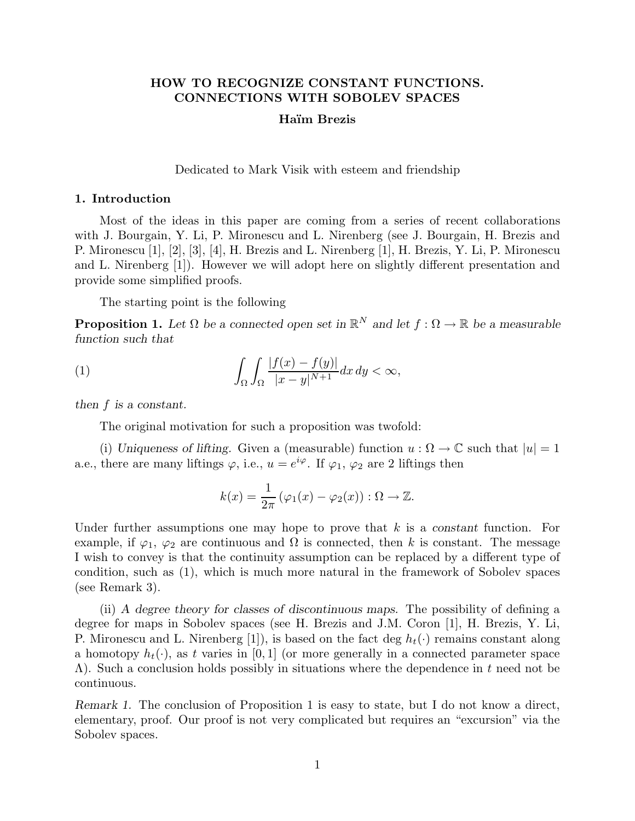# **HOW TO RECOGNIZE CONSTANT FUNCTIONS. CONNECTIONS WITH SOBOLEV SPACES**

# **Ha¨ım Brezis**

Dedicated to Mark Visik with esteem and friendship

### **1. Introduction**

Most of the ideas in this paper are coming from a series of recent collaborations with J. Bourgain, Y. Li, P. Mironescu and L. Nirenberg (see J. Bourgain, H. Brezis and P. Mironescu [1], [2], [3], [4], H. Brezis and L. Nirenberg [1], H. Brezis, Y. Li, P. Mironescu and L. Nirenberg [1]). However we will adopt here on slightly different presentation and provide some simplified proofs.

The starting point is the following

**Proposition 1.** Let  $\Omega$  be a connected open set in  $\mathbb{R}^N$  and let  $f : \Omega \to \mathbb{R}$  be a measurable *function such that*

(1) 
$$
\int_{\Omega} \int_{\Omega} \frac{|f(x) - f(y)|}{|x - y|^{N+1}} dx dy < \infty,
$$

*then f is a constant.*

The original motivation for such a proposition was twofold:

(i) *Uniqueness of lifting.* Given a (measurable) function  $u : \Omega \to \mathbb{C}$  such that  $|u| = 1$ a.e., there are many liftings  $\varphi$ , i.e.,  $u = e^{i\varphi}$ . If  $\varphi_1$ ,  $\varphi_2$  are 2 liftings then

$$
k(x) = \frac{1}{2\pi} (\varphi_1(x) - \varphi_2(x)) : \Omega \to \mathbb{Z}.
$$

Under further assumptions one may hope to prove that *k* is a *constant* function. For example, if  $\varphi_1$ ,  $\varphi_2$  are continuous and  $\Omega$  is connected, then k is constant. The message I wish to convey is that the continuity assumption can be replaced by a different type of condition, such as (1), which is much more natural in the framework of Sobolev spaces (see Remark 3).

(ii) *A degree theory for classes of discontinuous maps.* The possibility of defining a degree for maps in Sobolev spaces (see H. Brezis and J.M. Coron [1], H. Brezis, Y. Li, P. Mironescu and L. Nirenberg [1]), is based on the fact deg  $h_t(\cdot)$  remains constant along a homotopy  $h_t(\cdot)$ , as t varies in [0, 1] (or more generally in a connected parameter space Λ). Such a conclusion holds possibly in situations where the dependence in *t* need not be continuous.

*Remark 1.* The conclusion of Proposition 1 is easy to state, but I do not know a direct, elementary, proof. Our proof is not very complicated but requires an "excursion" via the Sobolev spaces.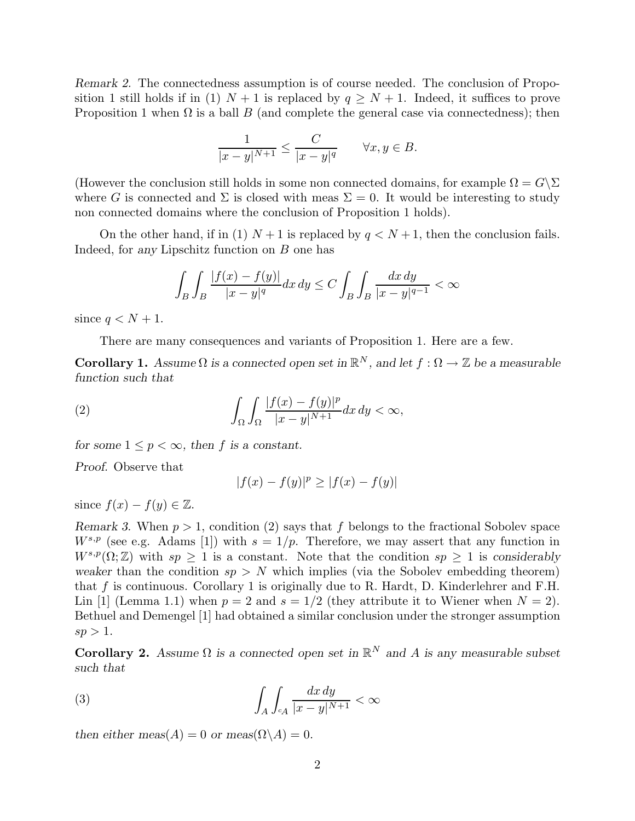*Remark 2.* The connectedness assumption is of course needed. The conclusion of Proposition 1 still holds if in (1)  $N+1$  is replaced by  $q \geq N+1$ . Indeed, it suffices to prove Proposition 1 when  $\Omega$  is a ball  $B$  (and complete the general case via connectedness); then

$$
\frac{1}{|x-y|^{N+1}} \le \frac{C}{|x-y|^q} \qquad \forall x, y \in B.
$$

(However the conclusion still holds in some non connected domains, for example  $\Omega = G \backslash \Sigma$ where *G* is connected and  $\Sigma$  is closed with meas  $\Sigma = 0$ . It would be interesting to study non connected domains where the conclusion of Proposition 1 holds).

On the other hand, if in (1)  $N+1$  is replaced by  $q < N+1$ , then the conclusion fails. Indeed, for *any* Lipschitz function on *B* one has

$$
\int_B\int_B\frac{|f(x)-f(y)|}{|x-y|^q}dx\,dy\leq C\int_B\int_B\frac{dx\,dy}{|x-y|^{q-1}}<\infty
$$

since  $q < N + 1$ .

There are many consequences and variants of Proposition 1. Here are a few.

**Corollary 1.** *Assume*  $\Omega$  *is a connected open set in*  $\mathbb{R}^N$ *, and let*  $f : \Omega \to \mathbb{Z}$  *be a measurable function such that*

(2) 
$$
\int_{\Omega} \int_{\Omega} \frac{|f(x) - f(y)|^p}{|x - y|^{N+1}} dx dy < \infty,
$$

*for some*  $1 \leq p < \infty$ *, then f is a constant.* 

*Proof.* Observe that

$$
|f(x) - f(y)|^p \ge |f(x) - f(y)|
$$

since  $f(x) - f(y) \in \mathbb{Z}$ .

*Remark 3.* When *p >* 1, condition (2) says that *f* belongs to the fractional Sobolev space  $W^{s,p}$  (see e.g. Adams [1]) with  $s = 1/p$ . Therefore, we may assert that any function in  $W^{s,p}(\Omega;\mathbb{Z})$  with  $sp \geq 1$  is a constant. Note that the condition  $sp \geq 1$  is considerably *weaker* than the condition  $sp > N$  which implies (via the Sobolev embedding theorem) that *f* is continuous. Corollary 1 is originally due to R. Hardt, D. Kinderlehrer and F.H. Lin [1] (Lemma 1.1) when  $p = 2$  and  $s = 1/2$  (they attribute it to Wiener when  $N = 2$ ). Bethuel and Demengel [1] had obtained a similar conclusion under the stronger assumption  $sp > 1$ .

**Corollary 2.** *Assume*  $\Omega$  *is a connected open set in*  $\mathbb{R}^N$  *and A is any measurable subset such that*

(3) 
$$
\int_{A} \int_{c_{A}} \frac{dx dy}{|x - y|^{N+1}} < \infty
$$

*then either meas*( $A$ ) = 0 *or meas*( $\Omega \backslash A$ ) = 0*.*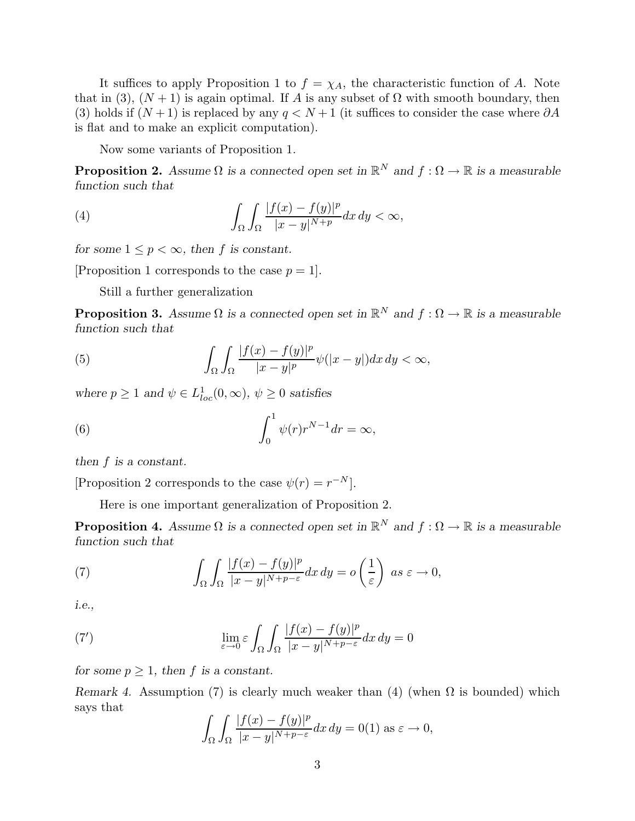It suffices to apply Proposition 1 to  $f = \chi_A$ , the characteristic function of A. Note that in (3),  $(N + 1)$  is again optimal. If *A* is any subset of  $\Omega$  with smooth boundary, then (3) holds if  $(N+1)$  is replaced by any  $q < N+1$  (it suffices to consider the case where  $\partial A$ is flat and to make an explicit computation).

Now some variants of Proposition 1.

**Proposition 2.** Assume  $\Omega$  *is a connected open set in*  $\mathbb{R}^N$  *and*  $f : \Omega \to \mathbb{R}$  *is a measurable function such that*

(4) 
$$
\int_{\Omega} \int_{\Omega} \frac{|f(x) - f(y)|^p}{|x - y|^{N + p}} dx dy < \infty,
$$

*for some*  $1 \leq p < \infty$ *, then f is constant.* 

[Proposition 1 corresponds to the case  $p = 1$ ].

Still a further generalization

**Proposition 3.** Assume  $\Omega$  *is a connected open set in*  $\mathbb{R}^N$  *and*  $f : \Omega \to \mathbb{R}$  *is a measurable function such that*

(5) 
$$
\int_{\Omega}\int_{\Omega}\frac{|f(x)-f(y)|^p}{|x-y|^p}\psi(|x-y|)dx\,dy < \infty,
$$

*where*  $p \ge 1$  *and*  $\psi \in L^1_{loc}(0, \infty)$ ,  $\psi \ge 0$  *satisfies* 

(6) 
$$
\int_0^1 \psi(r)r^{N-1}dr = \infty,
$$

*then f is a constant.*

[Proposition 2 corresponds to the case  $\psi(r) = r^{-N}$ ].

Here is one important generalization of Proposition 2.

**Proposition 4.** Assume  $\Omega$  *is a connected open set in*  $\mathbb{R}^N$  *and*  $f : \Omega \to \mathbb{R}$  *is a measurable function such that*

(7) 
$$
\int_{\Omega} \int_{\Omega} \frac{|f(x) - f(y)|^p}{|x - y|^{N + p - \varepsilon}} dx dy = o\left(\frac{1}{\varepsilon}\right) \text{ as } \varepsilon \to 0,
$$

*i.e.,*

(7') 
$$
\lim_{\varepsilon \to 0} \varepsilon \int_{\Omega} \int_{\Omega} \frac{|f(x) - f(y)|^p}{|x - y|^{N + p - \varepsilon}} dx dy = 0
$$

*for some*  $p \geq 1$ *, then f is a constant.* 

*Remark 4.* Assumption (7) is clearly much weaker than (4) (when  $\Omega$  is bounded) which says that

$$
\int_{\Omega} \int_{\Omega} \frac{|f(x) - f(y)|^p}{|x - y|^{N + p - \varepsilon}} dx dy = 0(1) \text{ as } \varepsilon \to 0,
$$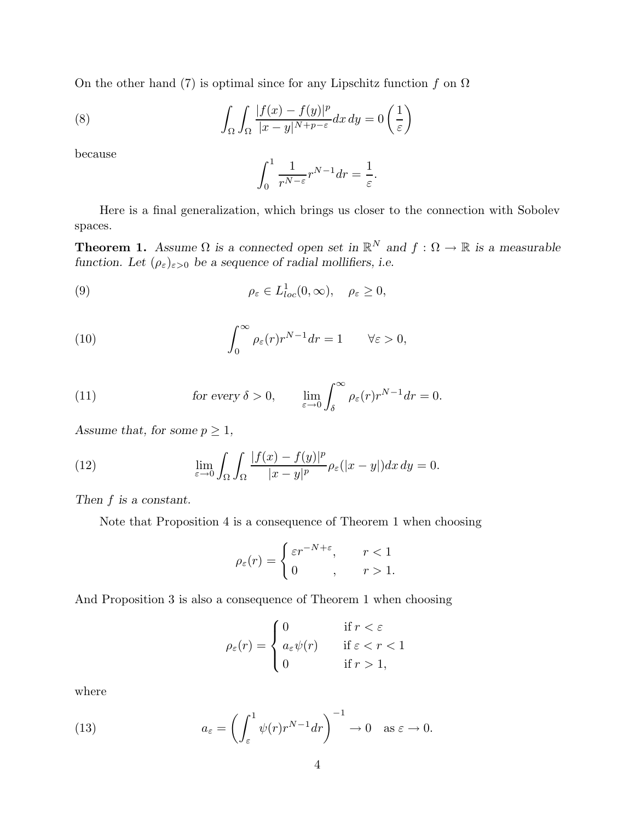On the other hand (7) is optimal since for any Lipschitz function  $f$  on  $\Omega$ 

(8) 
$$
\int_{\Omega} \int_{\Omega} \frac{|f(x) - f(y)|^p}{|x - y|^{N + p - \varepsilon}} dx dy = 0 \left( \frac{1}{\varepsilon} \right)
$$

because

$$
\int_0^1 \frac{1}{r^{N-\varepsilon}} r^{N-1} dr = \frac{1}{\varepsilon}.
$$

Here is a final generalization, which brings us closer to the connection with Sobolev spaces.

**Theorem 1.** *Assume*  $\Omega$  *is a connected open set in*  $\mathbb{R}^N$  *and*  $f : \Omega \to \mathbb{R}$  *is a measurable function.* Let  $(\rho_{\varepsilon})_{\varepsilon>0}$  *be a sequence of radial mollifiers, i.e.* 

(9) 
$$
\rho_{\varepsilon} \in L^{1}_{loc}(0,\infty), \quad \rho_{\varepsilon} \geq 0,
$$

(10) 
$$
\int_0^\infty \rho_\varepsilon(r) r^{N-1} dr = 1 \qquad \forall \varepsilon > 0,
$$

(11) 
$$
\text{for every } \delta > 0, \qquad \lim_{\varepsilon \to 0} \int_{\delta}^{\infty} \rho_{\varepsilon}(r) r^{N-1} dr = 0.
$$

Assume that, for some  $p \geq 1$ ,

(12) 
$$
\lim_{\varepsilon \to 0} \int_{\Omega} \int_{\Omega} \frac{|f(x) - f(y)|^p}{|x - y|^p} \rho_{\varepsilon}(|x - y|) dx dy = 0.
$$

*Then f is a constant.*

Note that Proposition 4 is a consequence of Theorem 1 when choosing

$$
\rho_{\varepsilon}(r) = \begin{cases} \varepsilon r^{-N+\varepsilon}, & r < 1 \\ 0, & r > 1. \end{cases}
$$

And Proposition 3 is also a consequence of Theorem 1 when choosing

$$
\rho_{\varepsilon}(r) = \begin{cases} 0 & \text{if } r < \varepsilon \\ a_{\varepsilon}\psi(r) & \text{if } \varepsilon < r < 1 \\ 0 & \text{if } r > 1, \end{cases}
$$

where

(13) 
$$
a_{\varepsilon} = \left(\int_{\varepsilon}^{1} \psi(r) r^{N-1} dr\right)^{-1} \to 0 \quad \text{as } \varepsilon \to 0.
$$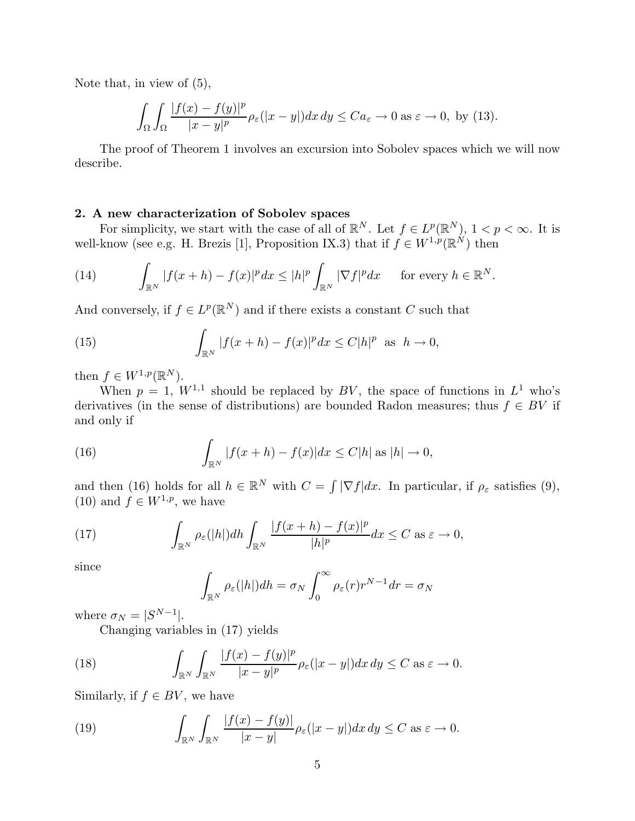Note that, in view of (5),

$$
\int_{\Omega} \int_{\Omega} \frac{|f(x) - f(y)|^p}{|x - y|^p} \rho_{\varepsilon}(|x - y|) dx dy \le C a_{\varepsilon} \to 0 \text{ as } \varepsilon \to 0, \text{ by (13)}.
$$

The proof of Theorem 1 involves an excursion into Sobolev spaces which we will now describe.

# **2. A new characterization of Sobolev spaces**

For simplicity, we start with the case of all of  $\mathbb{R}^N$ . Let  $f \in L^p(\mathbb{R}^N)$ ,  $1 < p < \infty$ . It is well-know (see e.g. H. Brezis [1], Proposition IX.3) that if  $f \in W^{1,p}(\mathbb{R}^N)$  then

(14) 
$$
\int_{\mathbb{R}^N} |f(x+h) - f(x)|^p dx \le |h|^p \int_{\mathbb{R}^N} |\nabla f|^p dx \quad \text{for every } h \in \mathbb{R}^N.
$$

And conversely, if  $f \in L^p(\mathbb{R}^N)$  and if there exists a constant *C* such that

(15) 
$$
\int_{\mathbb{R}^N} |f(x+h) - f(x)|^p dx \le C|h|^p \text{ as } h \to 0,
$$

then  $f \in W^{1,p}(\mathbb{R}^N)$ .

When  $p = 1$ ,  $W^{1,1}$  should be replaced by BV, the space of functions in  $L^1$  who's derivatives (in the sense of distributions) are bounded Radon measures; thus  $f \in BV$  if and only if

(16) 
$$
\int_{\mathbb{R}^N} |f(x+h) - f(x)| dx \le C|h| \text{ as } |h| \to 0,
$$

and then (16) holds for all  $h \in \mathbb{R}^N$  with  $C = \int |\nabla f| dx$ . In particular, if  $\rho_{\varepsilon}$  satisfies (9), (10) and  $\hat{f} \in W^{1,p}$ , we have

(17) 
$$
\int_{\mathbb{R}^N} \rho_{\varepsilon}(|h|) dh \int_{\mathbb{R}^N} \frac{|f(x+h) - f(x)|^p}{|h|^p} dx \leq C \text{ as } \varepsilon \to 0,
$$

since

$$
\int_{\mathbb{R}^N} \rho_{\varepsilon}(|h|) dh = \sigma_N \int_0^{\infty} \rho_{\varepsilon}(r) r^{N-1} dr = \sigma_N
$$

where  $\sigma_N = |S^{N-1}|$ .

Changing variables in (17) yields

(18) 
$$
\int_{\mathbb{R}^N} \int_{\mathbb{R}^N} \frac{|f(x) - f(y)|^p}{|x - y|^p} \rho_{\varepsilon}(|x - y|) dx dy \le C \text{ as } \varepsilon \to 0.
$$

Similarly, if  $f \in BV$ , we have

(19) 
$$
\int_{\mathbb{R}^N} \int_{\mathbb{R}^N} \frac{|f(x) - f(y)|}{|x - y|} \rho_{\varepsilon}(|x - y|) dx dy \le C \text{ as } \varepsilon \to 0.
$$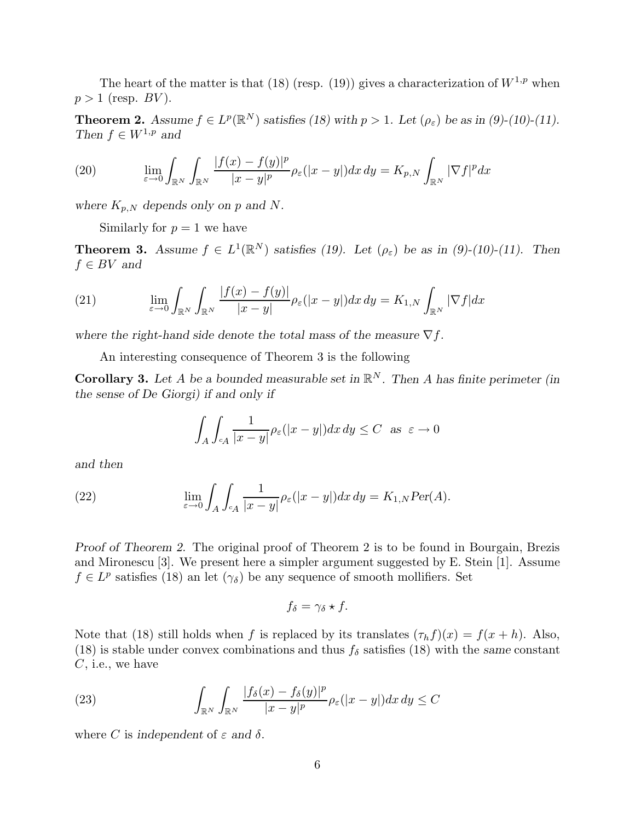The heart of the matter is that (18) (resp. (19)) gives a characterization of  $W^{1,p}$  when  $p > 1$  (resp. *BV*).

**Theorem 2.** *Assume*  $f \in L^p(\mathbb{R}^N)$  *satisfies* (18) with  $p > 1$ . Let  $(\rho_{\varepsilon})$  be as in (9)-(10)-(11). *Then*  $f \in W^{1,p}$  *and* 

(20) 
$$
\lim_{\varepsilon \to 0} \int_{\mathbb{R}^N} \int_{\mathbb{R}^N} \frac{|f(x) - f(y)|^p}{|x - y|^p} \rho_{\varepsilon}(|x - y|) dx dy = K_{p,N} \int_{\mathbb{R}^N} |\nabla f|^p dx
$$

*where*  $K_{p,N}$  *depends only on p and N.* 

Similarly for  $p = 1$  we have

**Theorem 3.** *Assume*  $f \in L^1(\mathbb{R}^N)$  *satisfies* (19). Let  $(\rho_{\varepsilon})$  *be as in (9)-(10)-(11). Then*  $f \in BV$  *and* 

(21) 
$$
\lim_{\varepsilon \to 0} \int_{\mathbb{R}^N} \int_{\mathbb{R}^N} \frac{|f(x) - f(y)|}{|x - y|} \rho_{\varepsilon}(|x - y|) dx dy = K_{1,N} \int_{\mathbb{R}^N} |\nabla f| dx
$$

where the right-hand side denote the total mass of the measure  $\nabla f$ .

An interesting consequence of Theorem 3 is the following

**Corollary 3.** Let *A* be a bounded measurable set in  $\mathbb{R}^N$ . Then *A* has finite perimeter (in *the sense of De Giorgi) if and only if*

$$
\int_A \int_{\mathbf{c}_A} \frac{1}{|x-y|} \rho_\varepsilon(|x-y|) dx\,dy \leq C \ \text{ as } \ \varepsilon \to 0
$$

*and then*

(22) 
$$
\lim_{\varepsilon \to 0} \int_A \int_{c_A} \frac{1}{|x - y|} \rho_{\varepsilon}(|x - y|) dx dy = K_{1,N} Per(A).
$$

*Proof of Theorem 2.* The original proof of Theorem 2 is to be found in Bourgain, Brezis and Mironescu [3]. We present here a simpler argument suggested by E. Stein [1]. Assume  $f \in L^p$  satisfies (18) an let  $(\gamma_\delta)$  be any sequence of smooth mollifiers. Set

$$
f_{\delta} = \gamma_{\delta} \star f.
$$

Note that (18) still holds when *f* is replaced by its translates  $(\tau_h f)(x) = f(x + h)$ . Also, (18) is stable under convex combinations and thus  $f_\delta$  satisfies (18) with the *same* constant *C*, i.e., we have

(23) 
$$
\int_{\mathbb{R}^N} \int_{\mathbb{R}^N} \frac{|f_\delta(x) - f_\delta(y)|^p}{|x - y|^p} \rho_\varepsilon(|x - y|) dx dy \leq C
$$

where *C* is independent of  $\varepsilon$  and  $\delta$ .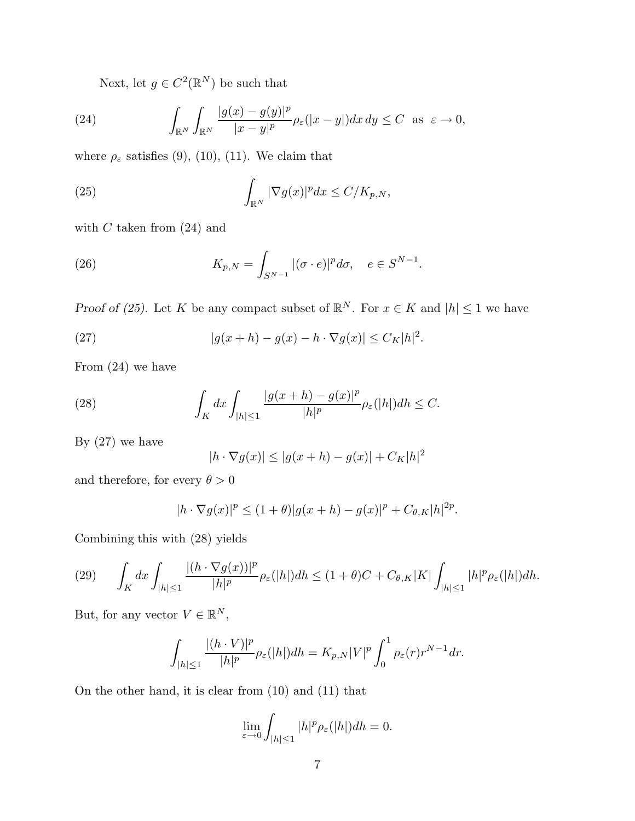Next, let  $g \in C^2(\mathbb{R}^N)$  be such that

(24) 
$$
\int_{\mathbb{R}^N} \int_{\mathbb{R}^N} \frac{|g(x) - g(y)|^p}{|x - y|^p} \rho_{\varepsilon}(|x - y|) dx dy \le C \text{ as } \varepsilon \to 0,
$$

where  $\rho_{\varepsilon}$  satisfies (9), (10), (11). We claim that

(25) 
$$
\int_{\mathbb{R}^N} |\nabla g(x)|^p dx \le C/K_{p,N},
$$

with *C* taken from (24) and

(26) 
$$
K_{p,N} = \int_{S^{N-1}} |(\sigma \cdot e)|^p d\sigma, \quad e \in S^{N-1}.
$$

*Proof of (25).* Let *K* be any compact subset of  $\mathbb{R}^N$ . For  $x \in K$  and  $|h| \leq 1$  we have

(27) 
$$
|g(x+h)-g(x)-h\cdot\nabla g(x)|\leq C_K|h|^2.
$$

From (24) we have

(28) 
$$
\int_{K} dx \int_{|h| \leq 1} \frac{|g(x+h) - g(x)|^{p}}{|h|^{p}} \rho_{\varepsilon}(|h|) dh \leq C.
$$

By  $(27)$  we have

$$
|h \cdot \nabla g(x)| \le |g(x+h) - g(x)| + C_K|h|^2
$$

and therefore, for every  $\theta > 0$ 

$$
|h \cdot \nabla g(x)|^p \le (1+\theta)|g(x+h) - g(x)|^p + C_{\theta,K}|h|^{2p}.
$$

Combining this with (28) yields

$$
(29) \qquad \int_{K}dx\int_{|h|\leq 1}\frac{|(h\cdot\nabla g(x))|^{p}}{|h|^{p}}\rho_{\varepsilon}(|h|)dh\leq (1+\theta)C+C_{\theta,K}|K|\int_{|h|\leq 1}|h|^{p}\rho_{\varepsilon}(|h|)dh.
$$

But, for any vector  $V \in \mathbb{R}^N$ ,

$$
\int_{|h|\leq 1} \frac{|(h\cdot V)|^p}{|h|^p} \rho_{\varepsilon}(|h|) dh = K_{p,N} |V|^p \int_0^1 \rho_{\varepsilon}(r) r^{N-1} dr.
$$

On the other hand, it is clear from (10) and (11) that

$$
\lim_{\varepsilon \to 0} \int_{|h| \le 1} |h|^p \rho_{\varepsilon}(|h|) dh = 0.
$$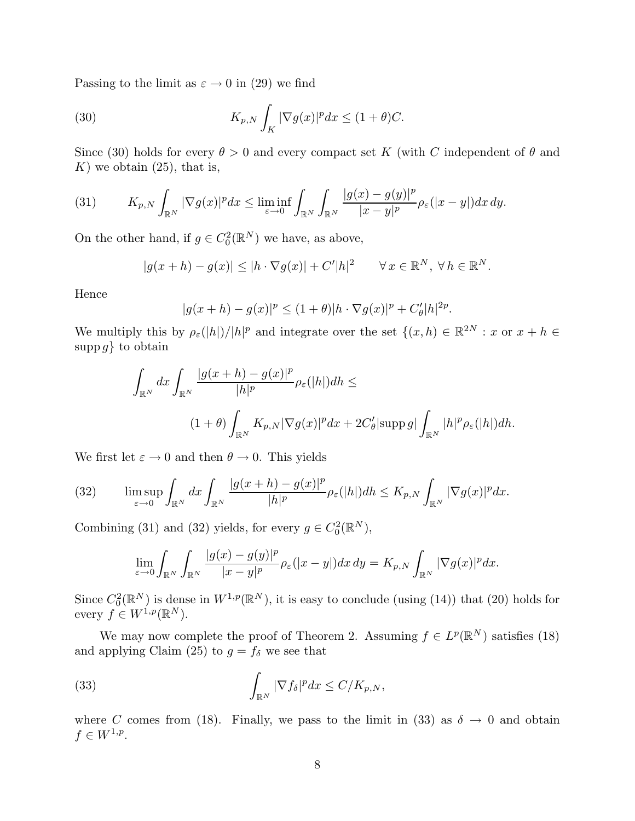Passing to the limit as  $\varepsilon \to 0$  in (29) we find

(30) 
$$
K_{p,N} \int_K |\nabla g(x)|^p dx \le (1+\theta)C.
$$

Since (30) holds for every  $\theta > 0$  and every compact set *K* (with *C* independent of  $\theta$  and  $K$ ) we obtain  $(25)$ , that is,

(31) 
$$
K_{p,N} \int_{\mathbb{R}^N} |\nabla g(x)|^p dx \leq \liminf_{\varepsilon \to 0} \int_{\mathbb{R}^N} \int_{\mathbb{R}^N} \frac{|g(x) - g(y)|^p}{|x - y|^p} \rho_{\varepsilon}(|x - y|) dx dy.
$$

On the other hand, if  $g \in C_0^2(\mathbb{R}^N)$  we have, as above,

$$
|g(x+h) - g(x)| \le |h \cdot \nabla g(x)| + C'|h|^2 \qquad \forall x \in \mathbb{R}^N, \ \forall h \in \mathbb{R}^N.
$$

Hence

$$
|g(x+h) - g(x)|^p \le (1+\theta)|h \cdot \nabla g(x)|^p + C'_{\theta}|h|^{2p}.
$$

We multiply this by  $\rho_{\varepsilon}(|h|)/|h|^{p}$  and integrate over the set  $\{(x,h) \in \mathbb{R}^{2N} : x \text{ or } x+h \in$ supp*g*} to obtain

$$
\int_{\mathbb{R}^N} dx \int_{\mathbb{R}^N} \frac{|g(x+h) - g(x)|^p}{|h|^p} \rho_{\varepsilon}(|h|) dh \le
$$
\n
$$
(1+\theta) \int_{\mathbb{R}^N} K_{p,N} |\nabla g(x)|^p dx + 2C'_{\theta} |\text{supp } g| \int_{\mathbb{R}^N} |h|^p \rho_{\varepsilon}(|h|) dh.
$$

We first let  $\varepsilon \to 0$  and then  $\theta \to 0$ . This yields

(32) 
$$
\limsup_{\varepsilon \to 0} \int_{\mathbb{R}^N} dx \int_{\mathbb{R}^N} \frac{|g(x+h) - g(x)|^p}{|h|^p} \rho_{\varepsilon}(|h|) dh \le K_{p,N} \int_{\mathbb{R}^N} |\nabla g(x)|^p dx.
$$

Combining (31) and (32) yields, for every  $g \in C_0^2(\mathbb{R}^N)$ ,

$$
\lim_{\varepsilon \to 0} \int_{\mathbb{R}^N} \int_{\mathbb{R}^N} \frac{|g(x) - g(y)|^p}{|x - y|^p} \rho_{\varepsilon}(|x - y|) dx dy = K_{p,N} \int_{\mathbb{R}^N} |\nabla g(x)|^p dx.
$$

Since  $C_0^2(\mathbb{R}^N)$  is dense in  $W^{1,p}(\mathbb{R}^N)$ , it is easy to conclude (using (14)) that (20) holds for every  $f \in W^{1,p}(\mathbb{R}^N)$ .

We may now complete the proof of Theorem 2. Assuming  $f \in L^p(\mathbb{R}^N)$  satisfies (18) and applying Claim (25) to  $g = f_\delta$  we see that

(33) 
$$
\int_{\mathbb{R}^N} |\nabla f_\delta|^p dx \le C/K_{p,N},
$$

where *C* comes from (18). Finally, we pass to the limit in (33) as  $\delta \rightarrow 0$  and obtain  $f \in W^{1,p}.$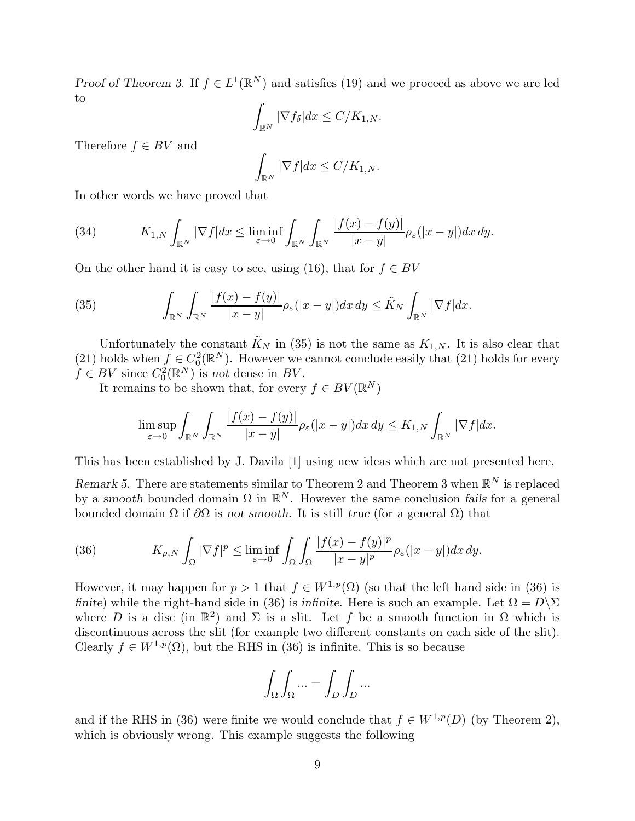*Proof of Theorem 3.* If  $f \in L^1(\mathbb{R}^N)$  and satisfies (19) and we proceed as above we are led to

$$
\int_{\mathbb{R}^N} |\nabla f_\delta| dx \le C/K_{1,N}.
$$

Therefore  $f \in BV$  and

$$
\int_{\mathbb{R}^N} |\nabla f| dx \le C/K_{1,N}.
$$

In other words we have proved that

(34) 
$$
K_{1,N} \int_{\mathbb{R}^N} |\nabla f| dx \leq \liminf_{\varepsilon \to 0} \int_{\mathbb{R}^N} \int_{\mathbb{R}^N} \frac{|f(x) - f(y)|}{|x - y|} \rho_{\varepsilon}(|x - y|) dx dy.
$$

On the other hand it is easy to see, using (16), that for  $f \in BV$ 

(35) 
$$
\int_{\mathbb{R}^N} \int_{\mathbb{R}^N} \frac{|f(x) - f(y)|}{|x - y|} \rho_{\varepsilon}(|x - y|) dx dy \leq \tilde{K}_N \int_{\mathbb{R}^N} |\nabla f| dx.
$$

Unfortunately the constant  $\tilde{K}_N$  in (35) is not the same as  $K_{1,N}$ . It is also clear that (21) holds when  $f \in C_0^2(\mathbb{R}^N)$ . However we cannot conclude easily that (21) holds for every  $f \in BV$  since  $C_0^2(\mathbb{R}^N)$  is *not* dense in *BV*.

It remains to be shown that, for every  $f \in BV(\mathbb{R}^N)$ 

$$
\limsup_{\varepsilon\to 0}\int_{\mathbb{R}^N}\int_{\mathbb{R}^N}\frac{|f(x)-f(y)|}{|x-y|}\rho_\varepsilon(|x-y|)dx\,dy\leq K_{1,N}\int_{\mathbb{R}^N}|\nabla f|dx.
$$

This has been established by J. Davila [1] using new ideas which are not presented here.

*Remark 5.* There are statements similar to Theorem 2 and Theorem 3 when  $\mathbb{R}^N$  is replaced by a *smooth* bounded domain  $\Omega$  in  $\mathbb{R}^N$ . However the same conclusion fails for a general bounded domain Ω if *∂*Ω is *not smooth*. It is still *true* (for a general Ω) that

(36) 
$$
K_{p,N} \int_{\Omega} |\nabla f|^p \leq \liminf_{\varepsilon \to 0} \int_{\Omega} \int_{\Omega} \frac{|f(x) - f(y)|^p}{|x - y|^p} \rho_{\varepsilon}(|x - y|) dx dy.
$$

However, it may happen for  $p > 1$  that  $f \in W^{1,p}(\Omega)$  (so that the left hand side in (36) is *finite*) while the right-hand side in (36) is *infinite*. Here is such an example. Let  $\Omega = D\Sigma$ where *D* is a disc (in  $\mathbb{R}^2$ ) and  $\Sigma$  is a slit. Let *f* be a smooth function in  $\Omega$  which is discontinuous across the slit (for example two different constants on each side of the slit). Clearly  $f \in W^{1,p}(\Omega)$ , but the RHS in (36) is infinite. This is so because

$$
\int_{\Omega} \int_{\Omega} \dots = \int_{D} \int_{D} \dots
$$

and if the RHS in (36) were finite we would conclude that  $f \in W^{1,p}(D)$  (by Theorem 2), which is obviously wrong. This example suggests the following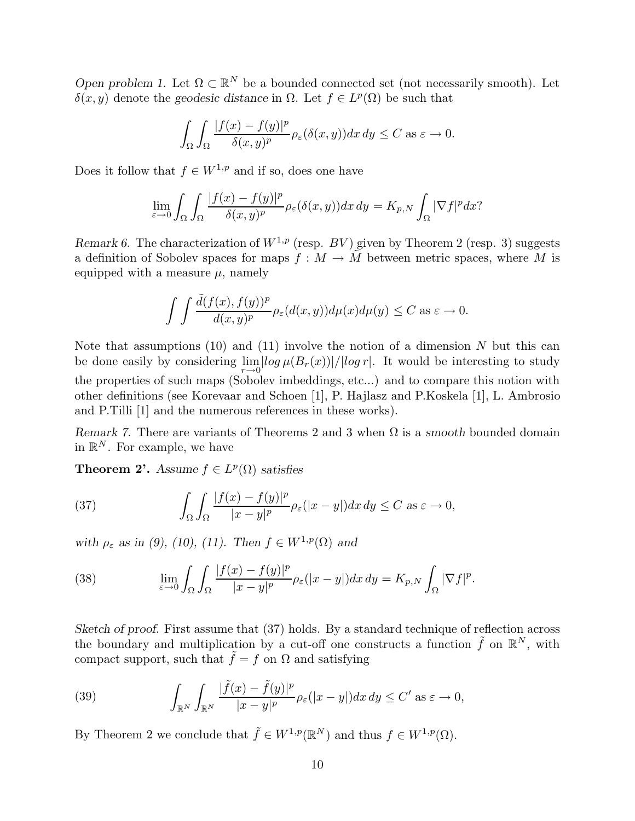*Open problem 1.* Let  $\Omega \subset \mathbb{R}^N$  be a bounded connected set (not necessarily smooth). Let *δ*(*x, y*) denote the *geodesic distance* in Ω. Let *f* ∈  $L^p(Ω)$  be such that

$$
\int_{\Omega} \int_{\Omega} \frac{|f(x) - f(y)|^p}{\delta(x, y)^p} \rho_{\varepsilon}(\delta(x, y)) dx dy \le C \text{ as } \varepsilon \to 0.
$$

Does it follow that  $f \in W^{1,p}$  and if so, does one have

$$
\lim_{\varepsilon\to 0}\int_{\Omega}\int_{\Omega}\frac{|f(x)-f(y)|^{p}}{\delta(x,y)^{p}}\rho_{\varepsilon}(\delta(x,y))dx\,dy=K_{p,N}\int_{\Omega}|\nabla f|^{p}dx?
$$

*Remark 6.* The characterization of  $W^{1,p}$  (resp. *BV*) given by Theorem 2 (resp. 3) suggests a definition of Sobolev spaces for maps  $f : M \to \tilde{M}$  between metric spaces, where M is equipped with a measure  $\mu$ , namely

$$
\int \int \frac{\tilde{d}(f(x), f(y))^p}{d(x,y)^p} \rho_{\varepsilon}(d(x,y)) d\mu(x) d\mu(y) \le C \text{ as } \varepsilon \to 0.
$$

Note that assumptions (10) and (11) involve the notion of a dimension *N* but this can be done easily by considering  $\lim_{r\to 0}$   $\left|\log \mu(B_r(x))\right| / \left|\log r\right|$ . It would be interesting to study the properties of such maps (Sobolev imbeddings, etc...) and to compare this notion with other definitions (see Korevaar and Schoen [1], P. Hajlasz and P.Koskela [1], L. Ambrosio and P.Tilli [1] and the numerous references in these works).

*Remark 7.* There are variants of Theorems 2 and 3 when Ω is a *smooth* bounded domain in  $\mathbb{R}^N$ . For example, we have

**Theorem 2'.** *Assume*  $f \in L^p(\Omega)$  *satisfies* 

(37) 
$$
\int_{\Omega} \int_{\Omega} \frac{|f(x) - f(y)|^p}{|x - y|^p} \rho_{\varepsilon}(|x - y|) dx dy \le C \text{ as } \varepsilon \to 0,
$$

*with*  $\rho_{\varepsilon}$  *as in (9), (10), (11). Then*  $f \in W^{1,p}(\Omega)$  *and* 

(38) 
$$
\lim_{\varepsilon \to 0} \int_{\Omega} \int_{\Omega} \frac{|f(x) - f(y)|^p}{|x - y|^p} \rho_{\varepsilon}(|x - y|) dx dy = K_{p,N} \int_{\Omega} |\nabla f|^p.
$$

*Sketch of proof.* First assume that (37) holds. By a standard technique of reflection across the boundary and multiplication by a cut-off one constructs a function  $\tilde{f}$  on  $\mathbb{R}^N$ , with compact support, such that  $\tilde{f} = f$  on  $\Omega$  and satisfying

(39) 
$$
\int_{\mathbb{R}^N} \int_{\mathbb{R}^N} \frac{|\tilde{f}(x) - \tilde{f}(y)|^p}{|x - y|^p} \rho_{\varepsilon}(|x - y|) dx dy \le C' \text{ as } \varepsilon \to 0,
$$

By Theorem 2 we conclude that  $\tilde{f} \in W^{1,p}(\mathbb{R}^N)$  and thus  $f \in W^{1,p}(\Omega)$ .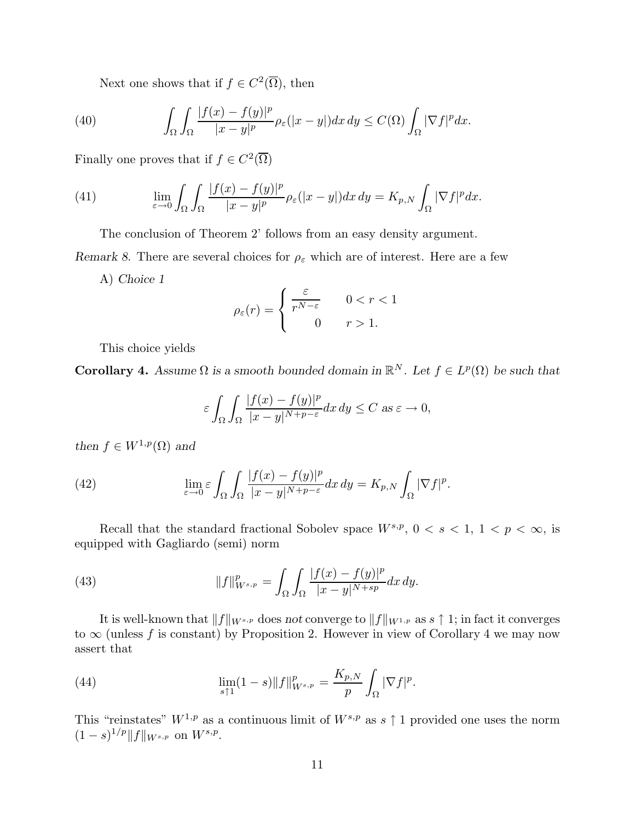Next one shows that if  $f \in C^2(\overline{\Omega})$ , then

(40) 
$$
\int_{\Omega} \int_{\Omega} \frac{|f(x) - f(y)|^p}{|x - y|^p} \rho_{\varepsilon}(|x - y|) dx dy \leq C(\Omega) \int_{\Omega} |\nabla f|^p dx.
$$

Finally one proves that if  $f \in C^2(\overline{\Omega})$ 

(41) 
$$
\lim_{\varepsilon \to 0} \int_{\Omega} \int_{\Omega} \frac{|f(x) - f(y)|^p}{|x - y|^p} \rho_{\varepsilon}(|x - y|) dx dy = K_{p,N} \int_{\Omega} |\nabla f|^p dx.
$$

The conclusion of Theorem 2' follows from an easy density argument.

*Remark 8.* There are several choices for  $\rho_{\varepsilon}$  which are of interest. Here are a few

A) *Choice 1*

$$
\rho_{\varepsilon}(r) = \begin{cases} \frac{\varepsilon}{r^{N-\varepsilon}} & 0 < r < 1 \\ 0 & r > 1. \end{cases}
$$

This choice yields

**Corollary 4.** Assume  $\Omega$  is a smooth bounded domain in  $\mathbb{R}^N$ . Let  $f \in L^p(\Omega)$  be such that

$$
\varepsilon \int_{\Omega} \int_{\Omega} \frac{|f(x) - f(y)|^p}{|x - y|^{N + p - \varepsilon}} dx dy \le C \text{ as } \varepsilon \to 0,
$$

*then*  $f \in W^{1,p}(\Omega)$  *and* 

(42) 
$$
\lim_{\varepsilon \to 0} \varepsilon \int_{\Omega} \int_{\Omega} \frac{|f(x) - f(y)|^p}{|x - y|^{N + p - \varepsilon}} dx dy = K_{p,N} \int_{\Omega} |\nabla f|^p.
$$

Recall that the standard fractional Sobolev space  $W^{s,p}$ ,  $0 < s < 1$ ,  $1 < p < \infty$ , is equipped with Gagliardo (semi) norm

(43) 
$$
||f||_{W^{s,p}}^p = \int_{\Omega} \int_{\Omega} \frac{|f(x) - f(y)|^p}{|x - y|^{N + sp}} dx dy.
$$

It is well-known that  $||f||_{W^{s,p}}$  does *not* converge to  $||f||_{W^{1,p}}$  as  $s \uparrow 1$ ; in fact it converges to  $\infty$  (unless f is constant) by Proposition 2. However in view of Corollary 4 we may now assert that

(44) 
$$
\lim_{s \uparrow 1} (1-s) \|f\|_{W^{s,p}}^p = \frac{K_{p,N}}{p} \int_{\Omega} |\nabla f|^p.
$$

This "reinstates"  $W^{1,p}$  as a continuous limit of  $W^{s,p}$  as  $s \uparrow 1$  provided one uses the norm  $(1-s)^{1/p}$ *||f ||W*<sup>*s*</sup>,*p* on *W*<sup>*s*</sup>,*p*.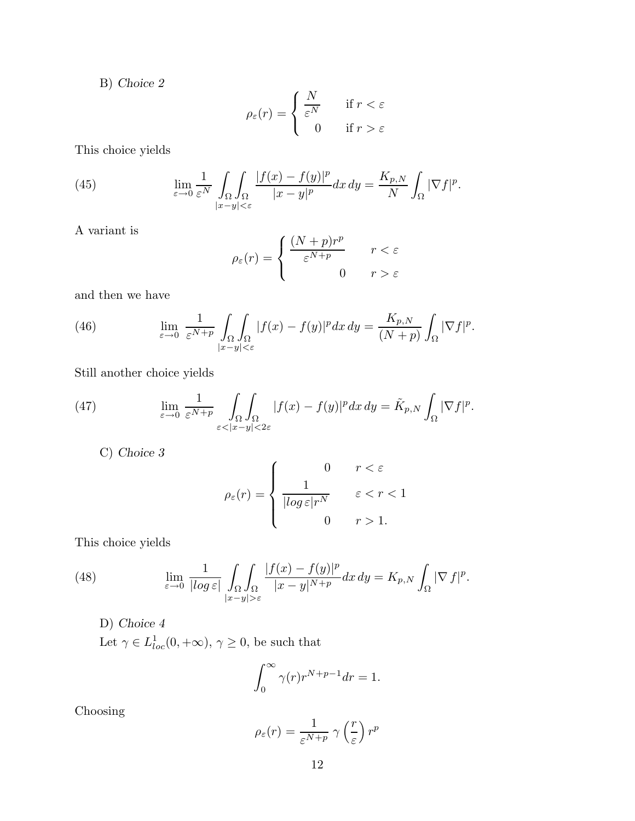B) *Choice 2*

$$
\rho_{\varepsilon}(r) = \begin{cases} \frac{N}{\varepsilon^N} & \text{if } r < \varepsilon \\ 0 & \text{if } r > \varepsilon \end{cases}
$$

This choice yields

(45) 
$$
\lim_{\varepsilon \to 0} \frac{1}{\varepsilon^N} \int_{\Omega} \int_{\Omega} \frac{|f(x) - f(y)|^p}{|x - y|^{p}} dx dy = \frac{K_{p,N}}{N} \int_{\Omega} |\nabla f|^p.
$$

A variant is

$$
\rho_{\varepsilon}(r) = \begin{cases} \frac{(N+p)r^p}{\varepsilon^{N+p}} & r < \varepsilon \\ 0 & r > \varepsilon \end{cases}
$$

and then we have

(46) 
$$
\lim_{\varepsilon \to 0} \frac{1}{\varepsilon^{N+p}} \int_{\Omega} \int_{\Omega} |f(x) - f(y)|^p dx dy = \frac{K_{p,N}}{(N+p)} \int_{\Omega} |\nabla f|^p.
$$

Still another choice yields

(47) 
$$
\lim_{\varepsilon \to 0} \frac{1}{\varepsilon^{N+p}} \int_{\Omega} \int_{\Omega} |f(x) - f(y)|^p dx dy = \tilde{K}_{p,N} \int_{\Omega} |\nabla f|^p.
$$

C) *Choice 3*

$$
\rho_{\varepsilon}(r) = \begin{cases}\n0 & r < \varepsilon \\
\frac{1}{|\log \varepsilon| r^N} & \varepsilon < r < 1 \\
0 & r > 1.\n\end{cases}
$$

This choice yields

(48) 
$$
\lim_{\varepsilon \to 0} \frac{1}{|log \varepsilon|} \int_{\Omega} \int_{\Omega} \frac{|f(x) - f(y)|^p}{|x - y|^{N + p}} dx dy = K_{p,N} \int_{\Omega} |\nabla f|^p.
$$

D) *Choice 4*

Let  $\gamma \in L^1_{loc}(0, +\infty)$ ,  $\gamma \geq 0$ , be such that

$$
\int_0^\infty \gamma(r) r^{N+p-1} dr = 1.
$$

Choosing

$$
\rho_{\varepsilon}(r) = \frac{1}{\varepsilon^{N+p}} \gamma\left(\frac{r}{\varepsilon}\right) r^p
$$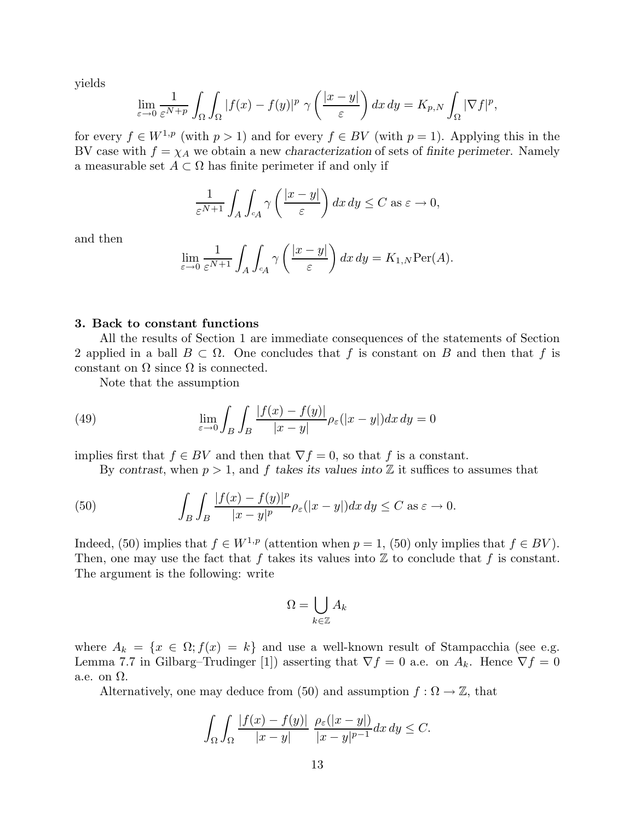yields

$$
\lim_{\varepsilon \to 0} \frac{1}{\varepsilon^{N+p}} \int_{\Omega} \int_{\Omega} |f(x) - f(y)|^p \gamma \left( \frac{|x - y|}{\varepsilon} \right) dx dy = K_{p,N} \int_{\Omega} |\nabla f|^p,
$$

for every  $f \in W^{1,p}$  (with  $p > 1$ ) and for every  $f \in BV$  (with  $p = 1$ ). Applying this in the BV case with  $f = \chi_A$  we obtain a new *characterization* of sets of *finite perimeter*. Namely a measurable set  $A \subset \Omega$  has finite perimeter if and only if

$$
\frac{1}{\varepsilon^{N+1}} \int_A \int_{cA} \gamma\left(\frac{|x-y|}{\varepsilon}\right) dx dy \le C \text{ as } \varepsilon \to 0,
$$

and then

$$
\lim_{\varepsilon \to 0} \frac{1}{\varepsilon^{N+1}} \int_A \int_{cA} \gamma \left( \frac{|x - y|}{\varepsilon} \right) dx dy = K_{1,N} \text{Per}(A).
$$

#### **3. Back to constant functions**

All the results of Section 1 are immediate consequences of the statements of Section 2 applied in a ball  $B \subset \Omega$ . One concludes that f is constant on B and then that f is constant on  $\Omega$  since  $\Omega$  is connected.

Note that the assumption

(49) 
$$
\lim_{\varepsilon \to 0} \int_B \int_B \frac{|f(x) - f(y)|}{|x - y|} \rho_{\varepsilon}(|x - y|) dx dy = 0
$$

implies first that  $f \in BV$  and then that  $\nabla f = 0$ , so that *f* is a constant.

By *contrast*, when  $p > 1$ , and  $f$  *takes its values into*  $\mathbb{Z}$  it suffices to assumes that

(50) 
$$
\int_B \int_B \frac{|f(x) - f(y)|^p}{|x - y|^p} \rho_{\varepsilon}(|x - y|) dx dy \le C \text{ as } \varepsilon \to 0.
$$

Indeed, (50) implies that  $f \in W^{1,p}$  (attention when  $p = 1$ , (50) only implies that  $f \in BV$ ). Then, one may use the fact that  $f$  takes its values into  $\mathbb Z$  to conclude that  $f$  is constant. The argument is the following: write

$$
\Omega = \bigcup_{k \in \mathbb{Z}} A_k
$$

where  $A_k = \{x \in \Omega; f(x) = k\}$  and use a well-known result of Stampacchia (see e.g. Lemma 7.7 in Gilbarg–Trudinger [1]) asserting that  $\nabla f = 0$  a.e. on  $A_k$ . Hence  $\nabla f = 0$ a.e. on  $\Omega$ .

Alternatively, one may deduce from (50) and assumption  $f : \Omega \to \mathbb{Z}$ , that

$$
\int_{\Omega} \int_{\Omega} \frac{|f(x) - f(y)|}{|x - y|} \frac{\rho_{\varepsilon}(|x - y|)}{|x - y|^{p - 1}} dx dy \le C.
$$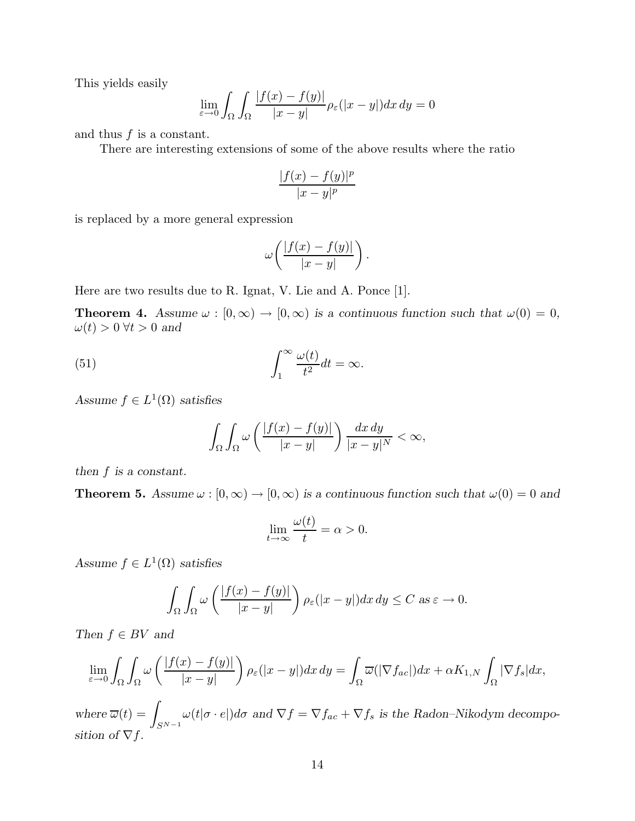This yields easily

$$
\lim_{\varepsilon \to 0} \int_{\Omega} \int_{\Omega} \frac{|f(x) - f(y)|}{|x - y|} \rho_{\varepsilon}(|x - y|) dx dy = 0
$$

and thus *f* is a constant.

There are interesting extensions of some of the above results where the ratio

$$
\frac{|f(x) - f(y)|^p}{|x - y|^p}
$$

is replaced by a more general expression

$$
\omega\bigg(\frac{|f(x)-f(y)|}{|x-y|}\bigg).
$$

Here are two results due to R. Ignat, V. Lie and A. Ponce [1].

**Theorem 4.** *Assume*  $\omega : [0, \infty) \to [0, \infty)$  *is a continuous function such that*  $\omega(0) = 0$ ,  $\omega(t) > 0 \ \forall t > 0 \ \text{and}$ 

(51) 
$$
\int_{1}^{\infty} \frac{\omega(t)}{t^2} dt = \infty.
$$

*Assume*  $f \in L^1(\Omega)$  *satisfies* 

$$
\int_{\Omega}\int_{\Omega}\omega\left(\frac{|f(x)-f(y)|}{|x-y|}\right)\frac{dx\,dy}{|x-y|^{N}}<\infty,
$$

*then f is a constant.*

**Theorem 5.** *Assume*  $\omega : [0, \infty) \to [0, \infty)$  *is a continuous function such that*  $\omega(0) = 0$  *and* 

$$
\lim_{t \to \infty} \frac{\omega(t)}{t} = \alpha > 0.
$$

*Assume*  $f \in L^1(\Omega)$  *satisfies* 

$$
\int_{\Omega} \int_{\Omega} \omega \left( \frac{|f(x) - f(y)|}{|x - y|} \right) \rho_{\varepsilon}(|x - y|) dx dy \le C \text{ as } \varepsilon \to 0.
$$

*Then*  $f \in BV$  *and* 

$$
\lim_{\varepsilon \to 0} \int_{\Omega} \int_{\Omega} \omega \left( \frac{|f(x) - f(y)|}{|x - y|} \right) \rho_{\varepsilon}(|x - y|) dx dy = \int_{\Omega} \overline{\omega}(|\nabla f_{ac}|) dx + \alpha K_{1,N} \int_{\Omega} |\nabla f_{s}| dx,
$$

*where*  $\overline{\omega}(t) =$ *S*N−<sup>1</sup>  $\omega(t|\sigma \cdot e|)d\sigma$  and  $\nabla f = \nabla f_{ac} + \nabla f_s$  is the Radon–Nikodym decompo*sition of*  $\nabla f$ *.*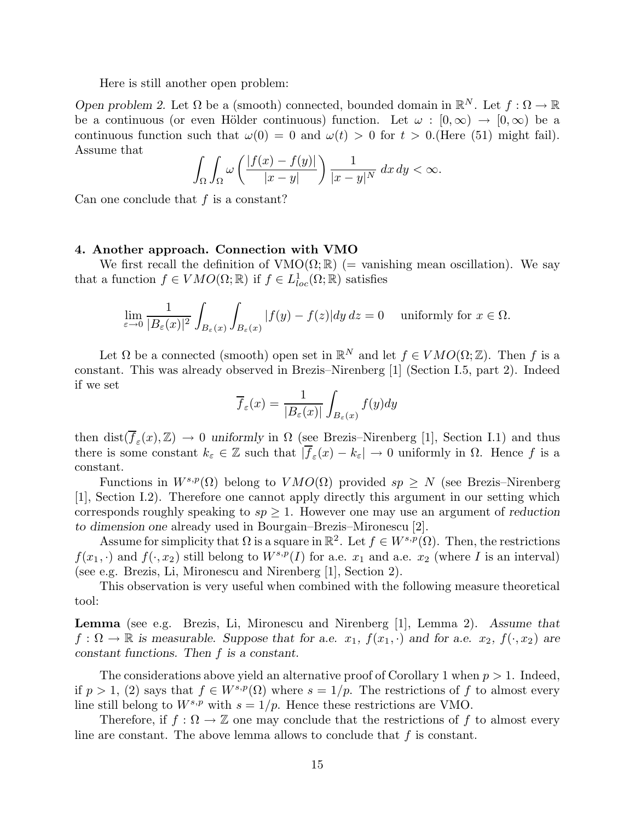Here is still another open problem:

*Open problem 2.* Let  $\Omega$  be a (smooth) connected, bounded domain in  $\mathbb{R}^N$ . Let  $f : \Omega \to \mathbb{R}$ be a continuous (or even Hölder continuous) function. Let  $\omega : [0, \infty) \to [0, \infty)$  be a continuous function such that  $\omega(0) = 0$  and  $\omega(t) > 0$  for  $t > 0$ . (Here (51) might fail). Assume that

$$
\int_{\Omega} \int_{\Omega} \omega \left( \frac{|f(x) - f(y)|}{|x - y|} \right) \frac{1}{|x - y|^N} dx dy < \infty.
$$

Can one conclude that *f* is a constant?

#### **4. Another approach. Connection with VMO**

We first recall the definition of  $VMO(\Omega;\mathbb{R})$  (= vanishing mean oscillation). We say that a function  $f \in VMO(\Omega;\mathbb{R})$  if  $f \in L^1_{loc}(\Omega;\mathbb{R})$  satisfies

$$
\lim_{\varepsilon \to 0} \frac{1}{|B_{\varepsilon}(x)|^2} \int_{B_{\varepsilon}(x)} \int_{B_{\varepsilon}(x)} |f(y) - f(z)| dy dz = 0 \quad \text{ uniformly for } x \in \Omega.
$$

Let  $\Omega$  be a connected (smooth) open set in  $\mathbb{R}^N$  and let  $f \in VMO(\Omega;\mathbb{Z})$ . Then f is a constant. This was already observed in Brezis–Nirenberg [1] (Section I.5, part 2). Indeed if we set

$$
\overline{f}_{\varepsilon}(x) = \frac{1}{|B_{\varepsilon}(x)|} \int_{B_{\varepsilon}(x)} f(y) dy
$$

then dist $(\overline{f}_{\varepsilon}(x),\mathbb{Z}) \to 0$  *uniformly* in  $\Omega$  (see Brezis–Nirenberg [1], Section I.1) and thus there is some constant  $k_{\varepsilon} \in \mathbb{Z}$  such that  $|\overline{f}_{\varepsilon}(x) - k_{\varepsilon}| \to 0$  uniformly in  $\Omega$ . Hence f is a constant.

Functions in  $W^{s,p}(\Omega)$  belong to  $VMO(\Omega)$  provided  $sp > N$  (see Brezis–Nirenberg [1], Section I.2). Therefore one cannot apply directly this argument in our setting which corresponds roughly speaking to  $sp \geq 1$ . However one may use an argument of *reduction to dimension one* already used in Bourgain–Brezis–Mironescu [2].

Assume for simplicity that  $\Omega$  is a square in  $\mathbb{R}^2$ . Let  $f \in W^{s,p}(\Omega)$ . Then, the restrictions  $f(x_1, \cdot)$  and  $f(\cdot, x_2)$  still belong to  $W^{s,p}(I)$  for a.e.  $x_1$  and a.e.  $x_2$  (where *I* is an interval) (see e.g. Brezis, Li, Mironescu and Nirenberg [1], Section 2).

This observation is very useful when combined with the following measure theoretical tool:

**Lemma** (see e.g. Brezis, Li, Mironescu and Nirenberg [1], Lemma 2). *Assume that*  $f: \Omega \to \mathbb{R}$  is measurable. Suppose that for a.e.  $x_1$ ,  $f(x_1, \cdot)$  and for a.e.  $x_2$ ,  $f(\cdot, x_2)$  are *constant functions. Then f is a constant.*

The considerations above yield an alternative proof of Corollary 1 when *p >* 1. Indeed, if  $p > 1$ , (2) says that  $f \in W^{s,p}(\Omega)$  where  $s = 1/p$ . The restrictions of f to almost every line still belong to  $W^{s,p}$  with  $s = 1/p$ . Hence these restrictions are VMO.

Therefore, if  $f : \Omega \to \mathbb{Z}$  one may conclude that the restrictions of f to almost every line are constant. The above lemma allows to conclude that *f* is constant.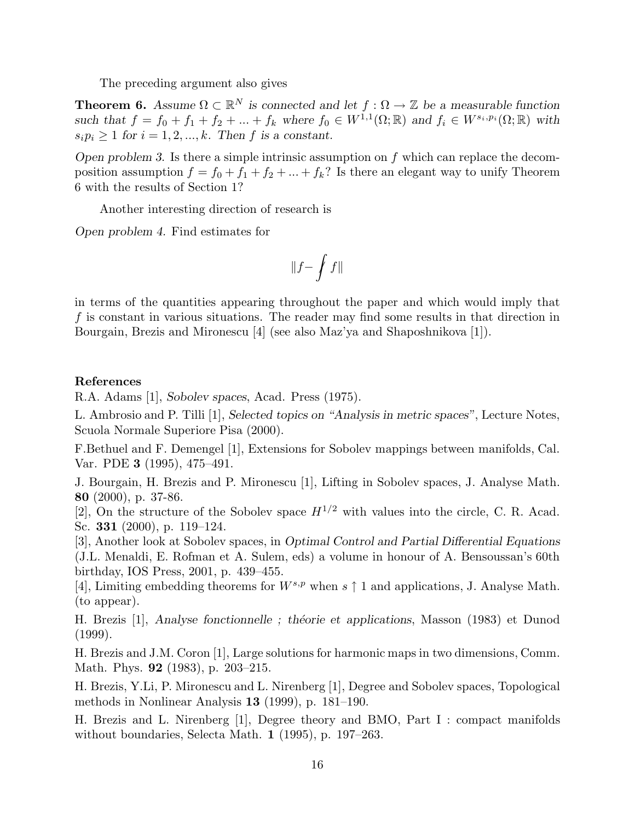The preceding argument also gives

**Theorem 6.** Assume  $\Omega \subset \mathbb{R}^N$  is connected and let  $f : \Omega \to \mathbb{Z}$  be a measurable function *such that*  $f = f_0 + f_1 + f_2 + \ldots + f_k$  *where*  $f_0 \in W^{1,1}(\Omega;\mathbb{R})$  *and*  $f_i \in W^{s_i,p_i}(\Omega;\mathbb{R})$  *with*  $s_i p_i \geq 1$  *for*  $i = 1, 2, \ldots, k$ *. Then f is a constant.* 

*Open problem 3.* Is there a simple intrinsic assumption on *f* which can replace the decomposition assumption  $f = f_0 + f_1 + f_2 + \ldots + f_k$ ? Is there an elegant way to unify Theorem 6 with the results of Section 1?

Another interesting direction of research is

*Open problem 4.* Find estimates for

$$
\|f-\int f\|
$$

in terms of the quantities appearing throughout the paper and which would imply that *f* is constant in various situations. The reader may find some results in that direction in Bourgain, Brezis and Mironescu [4] (see also Maz'ya and Shaposhnikova [1]).

### **References**

R.A. Adams [1], *Sobolev spaces*, Acad. Press (1975).

L. Ambrosio and P. Tilli [1], *Selected topics on "Analysis in metric spaces"*, Lecture Notes, Scuola Normale Superiore Pisa (2000).

F.Bethuel and F. Demengel [1], Extensions for Sobolev mappings between manifolds, Cal. Var. PDE **3** (1995), 475–491.

J. Bourgain, H. Brezis and P. Mironescu [1], Lifting in Sobolev spaces, J. Analyse Math. **80** (2000), p. 37-86.

[2], On the structure of the Sobolev space  $H^{1/2}$  with values into the circle, C. R. Acad. Sc. **331** (2000), p. 119–124.

[3], Another look at Sobolev spaces, in *Optimal Control and Partial Differential Equations* (J.L. Menaldi, E. Rofman et A. Sulem, eds) a volume in honour of A. Bensoussan's 60th birthday, IOS Press, 2001, p. 439–455.

[4], Limiting embedding theorems for  $W^{s,p}$  when  $s \uparrow 1$  and applications, J. Analyse Math. (to appear).

H. Brezis [1], *Analyse fonctionnelle*; *théorie et applications*, Masson (1983) et Dunod (1999).

H. Brezis and J.M. Coron [1], Large solutions for harmonic maps in two dimensions, Comm. Math. Phys. **92** (1983), p. 203–215.

H. Brezis, Y.Li, P. Mironescu and L. Nirenberg [1], Degree and Sobolev spaces, Topological methods in Nonlinear Analysis **13** (1999), p. 181–190.

H. Brezis and L. Nirenberg [1], Degree theory and BMO, Part I : compact manifolds without boundaries, Selecta Math. **1** (1995), p. 197–263.